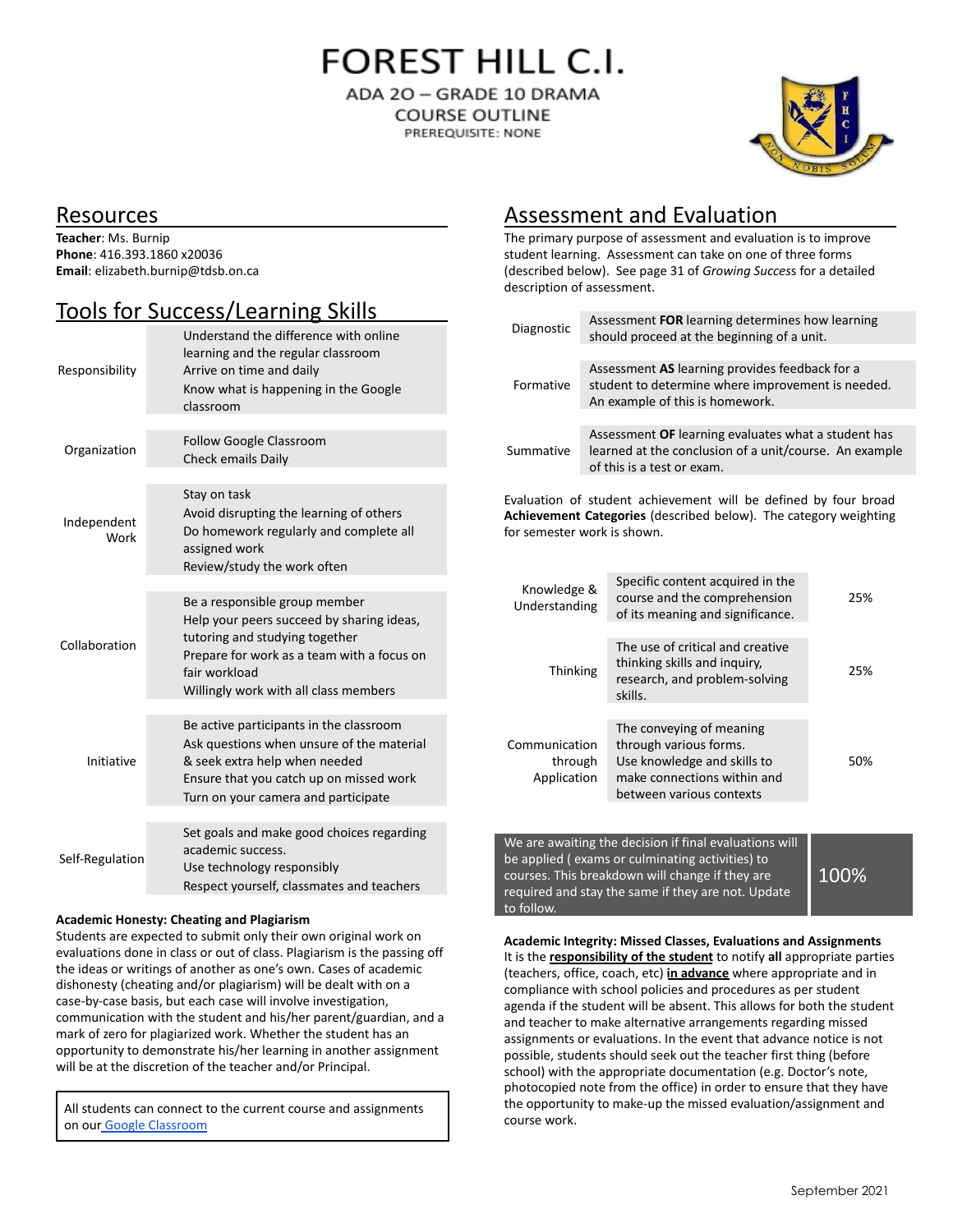**FOREST HILL C.I.** 

ADA 20 - GRADE 10 DRAMA **COURSE OUTLINE** PREREQUISITE: NONE



### Resources

**Teacher**: Ms. Burnip **Phone**: 416.393.1860 x20036 **Email**: elizabeth.burnip@tdsb.on.ca

## Tools for Success/Learning Skills

| Responsibility      | Understand the difference with online<br>learning and the regular classroom<br>Arrive on time and daily<br>Know what is happening in the Google<br>classroom                                                         |
|---------------------|----------------------------------------------------------------------------------------------------------------------------------------------------------------------------------------------------------------------|
| Organization        | Follow Google Classroom<br><b>Check emails Daily</b>                                                                                                                                                                 |
| Independent<br>Work | Stay on task<br>Avoid disrupting the learning of others<br>Do homework regularly and complete all<br>assigned work<br>Review/study the work often                                                                    |
| Collaboration       | Be a responsible group member<br>Help your peers succeed by sharing ideas,<br>tutoring and studying together<br>Prepare for work as a team with a focus on<br>fair workload<br>Willingly work with all class members |
| Initiative          | Be active participants in the classroom<br>Ask questions when unsure of the material<br>& seek extra help when needed<br>Ensure that you catch up on missed work<br>Turn on your camera and participate              |
| Self-Regulation     | Set goals and make good choices regarding<br>academic success.<br>Use technology responsibly<br>Respect yourself, classmates and teachers                                                                            |

#### **Academic Honesty: Cheating and Plagiarism**

Students are expected to submit only their own original work on evaluations done in class or out of class. Plagiarism is the passing off the ideas or writings of another as one's own. Cases of academic dishonesty (cheating and/or plagiarism) will be dealt with on a case-by-case basis, but each case will involve investigation, communication with the student and his/her parent/guardian, and a mark of zero for plagiarized work. Whether the student has an opportunity to demonstrate his/her learning in another assignment will be at the discretion of the teacher and/or Principal.

All students can connect to the current course and assignments on our [Google Classroom](https://classroom.google.com/u/0/c/MzIwMzEzOTU1NzY1)

## Assessment and Evaluation

The primary purpose of assessment and evaluation is to improve student learning. Assessment can take on one of three forms (described below). See page 31 of *Growing Succes*s for a detailed description of assessment.

| Diagnostic                                                                                                                                                         |                                                                                                                                             | Assessment FOR learning determines how learning<br>should proceed at the beginning of a unit.                                                |     |  |  |
|--------------------------------------------------------------------------------------------------------------------------------------------------------------------|---------------------------------------------------------------------------------------------------------------------------------------------|----------------------------------------------------------------------------------------------------------------------------------------------|-----|--|--|
| Formative                                                                                                                                                          |                                                                                                                                             | Assessment AS learning provides feedback for a<br>student to determine where improvement is needed.<br>An example of this is homework.       |     |  |  |
| Summative                                                                                                                                                          | Assessment OF learning evaluates what a student has<br>learned at the conclusion of a unit/course. An example<br>of this is a test or exam. |                                                                                                                                              |     |  |  |
| Evaluation of student achievement will be defined by four broad<br>Achievement Categories (described below). The category weighting<br>for semester work is shown. |                                                                                                                                             |                                                                                                                                              |     |  |  |
| Knowledge &<br>Understanding                                                                                                                                       |                                                                                                                                             | Specific content acquired in the<br>course and the comprehension<br>of its meaning and significance.                                         | 25% |  |  |
| <b>Thinking</b>                                                                                                                                                    |                                                                                                                                             | The use of critical and creative<br>thinking skills and inquiry,<br>research, and problem-solving<br>skills.                                 | 25% |  |  |
| Communication<br>through<br>Application                                                                                                                            |                                                                                                                                             | The conveying of meaning<br>through various forms.<br>Use knowledge and skills to<br>make connections within and<br>between various contexts | 50% |  |  |

We are awaiting the decision if final evaluations will be applied ( exams or culminating activities) to courses. This breakdown will change if they are required and stay the same if they are not. Update to follow.

100%

**Academic Integrity: Missed Classes, Evaluations and Assignments** It is the **responsibility of the student** to notify **all** appropriate parties (teachers, office, coach, etc) **in advance** where appropriate and in compliance with school policies and procedures as per student agenda if the student will be absent. This allows for both the student and teacher to make alternative arrangements regarding missed assignments or evaluations. In the event that advance notice is not possible, students should seek out the teacher first thing (before school) with the appropriate documentation (e.g. Doctor's note, photocopied note from the office) in order to ensure that they have the opportunity to make-up the missed evaluation/assignment and course work.